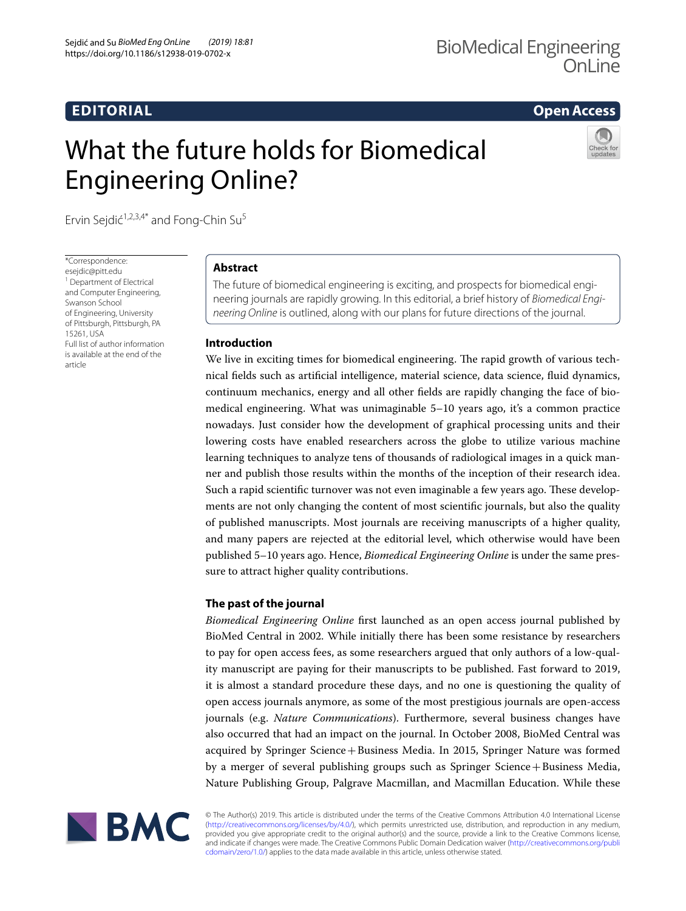## **EDITORIAL**

**Open Access**

# What the future holds for Biomedical Engineering Online?



Ervin Sejdić<sup>1,2,3,4\*</sup> and Fong-Chin Su<sup>5</sup>

\*Correspondence: esejdic@pitt.edu <sup>1</sup> Department of Electrical and Computer Engineering, Swanson School of Engineering, University of Pittsburgh, Pittsburgh, PA 15261, USA Full list of author information is available at the end of the article

## **Abstract**

The future of biomedical engineering is exciting, and prospects for biomedical engineering journals are rapidly growing. In this editorial, a brief history of *Biomedical Engineering Online* is outlined, along with our plans for future directions of the journal.

## **Introduction**

We live in exciting times for biomedical engineering. The rapid growth of various technical felds such as artifcial intelligence, material science, data science, fuid dynamics, continuum mechanics, energy and all other felds are rapidly changing the face of biomedical engineering. What was unimaginable 5–10 years ago, it's a common practice nowadays. Just consider how the development of graphical processing units and their lowering costs have enabled researchers across the globe to utilize various machine learning techniques to analyze tens of thousands of radiological images in a quick manner and publish those results within the months of the inception of their research idea. Such a rapid scientific turnover was not even imaginable a few years ago. These developments are not only changing the content of most scientifc journals, but also the quality of published manuscripts. Most journals are receiving manuscripts of a higher quality, and many papers are rejected at the editorial level, which otherwise would have been published 5–10 years ago. Hence, *Biomedical Engineering Online* is under the same pressure to attract higher quality contributions.

## **The past of the journal**

*Biomedical Engineering Online* frst launched as an open access journal published by BioMed Central in 2002. While initially there has been some resistance by researchers to pay for open access fees, as some researchers argued that only authors of a low-quality manuscript are paying for their manuscripts to be published. Fast forward to 2019, it is almost a standard procedure these days, and no one is questioning the quality of open access journals anymore, as some of the most prestigious journals are open-access journals (e.g. *Nature Communications*). Furthermore, several business changes have also occurred that had an impact on the journal. In October 2008, BioMed Central was acquired by Springer Science+Business Media. In 2015, Springer Nature was formed by a merger of several publishing groups such as Springer Science+Business Media, Nature Publishing Group, Palgrave Macmillan, and Macmillan Education. While these



© The Author(s) 2019. This article is distributed under the terms of the Creative Commons Attribution 4.0 International License [\(http://creativecommons.org/licenses/by/4.0/](http://creativecommons.org/licenses/by/4.0/)), which permits unrestricted use, distribution, and reproduction in any medium, provided you give appropriate credit to the original author(s) and the source, provide a link to the Creative Commons license, and indicate if changes were made. The Creative Commons Public Domain Dedication waiver ([http://creativecommons.org/publi](http://creativecommons.org/publicdomain/zero/1.0/) [cdomain/zero/1.0/\)](http://creativecommons.org/publicdomain/zero/1.0/) applies to the data made available in this article, unless otherwise stated.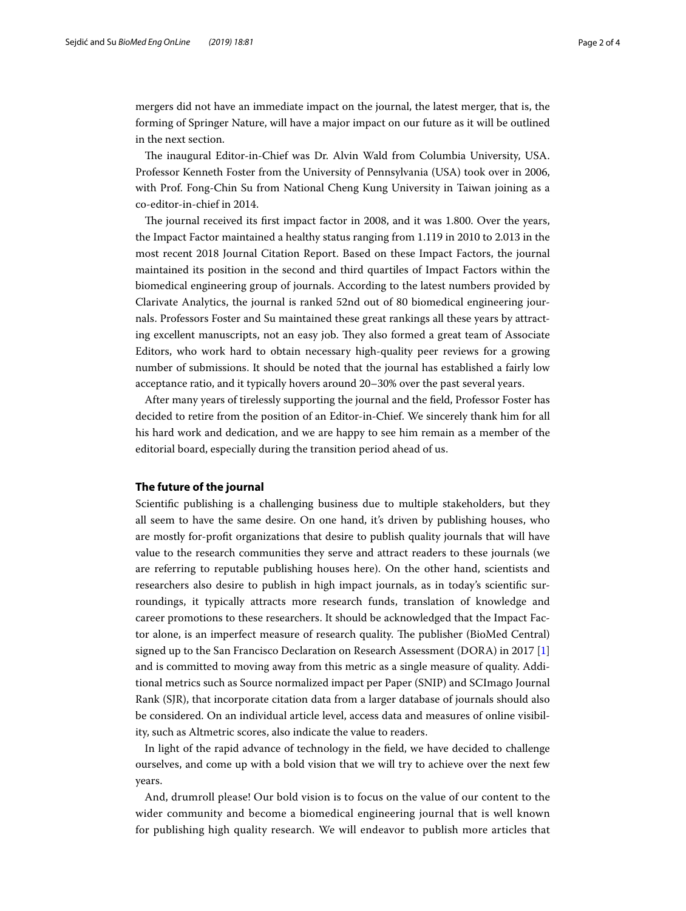mergers did not have an immediate impact on the journal, the latest merger, that is, the forming of Springer Nature, will have a major impact on our future as it will be outlined in the next section.

The inaugural Editor-in-Chief was Dr. Alvin Wald from Columbia University, USA. Professor Kenneth Foster from the University of Pennsylvania (USA) took over in 2006, with Prof. Fong-Chin Su from National Cheng Kung University in Taiwan joining as a co-editor-in-chief in 2014.

The journal received its first impact factor in 2008, and it was 1.800. Over the years, the Impact Factor maintained a healthy status ranging from 1.119 in 2010 to 2.013 in the most recent 2018 Journal Citation Report. Based on these Impact Factors, the journal maintained its position in the second and third quartiles of Impact Factors within the biomedical engineering group of journals. According to the latest numbers provided by Clarivate Analytics, the journal is ranked 52nd out of 80 biomedical engineering journals. Professors Foster and Su maintained these great rankings all these years by attracting excellent manuscripts, not an easy job. They also formed a great team of Associate Editors, who work hard to obtain necessary high-quality peer reviews for a growing number of submissions. It should be noted that the journal has established a fairly low acceptance ratio, and it typically hovers around 20–30% over the past several years.

After many years of tirelessly supporting the journal and the feld, Professor Foster has decided to retire from the position of an Editor-in-Chief. We sincerely thank him for all his hard work and dedication, and we are happy to see him remain as a member of the editorial board, especially during the transition period ahead of us.

#### **The future of the journal**

Scientifc publishing is a challenging business due to multiple stakeholders, but they all seem to have the same desire. On one hand, it's driven by publishing houses, who are mostly for-proft organizations that desire to publish quality journals that will have value to the research communities they serve and attract readers to these journals (we are referring to reputable publishing houses here). On the other hand, scientists and researchers also desire to publish in high impact journals, as in today's scientifc surroundings, it typically attracts more research funds, translation of knowledge and career promotions to these researchers. It should be acknowledged that the Impact Factor alone, is an imperfect measure of research quality. The publisher (BioMed Central) signed up to the San Francisco Declaration on Research Assessment (DORA) in 2017 [[1](#page-3-0)] and is committed to moving away from this metric as a single measure of quality. Additional metrics such as Source normalized impact per Paper (SNIP) and SCImago Journal Rank (SJR), that incorporate citation data from a larger database of journals should also be considered. On an individual article level, access data and measures of online visibility, such as Altmetric scores, also indicate the value to readers.

In light of the rapid advance of technology in the feld, we have decided to challenge ourselves, and come up with a bold vision that we will try to achieve over the next few years.

And, drumroll please! Our bold vision is to focus on the value of our content to the wider community and become a biomedical engineering journal that is well known for publishing high quality research. We will endeavor to publish more articles that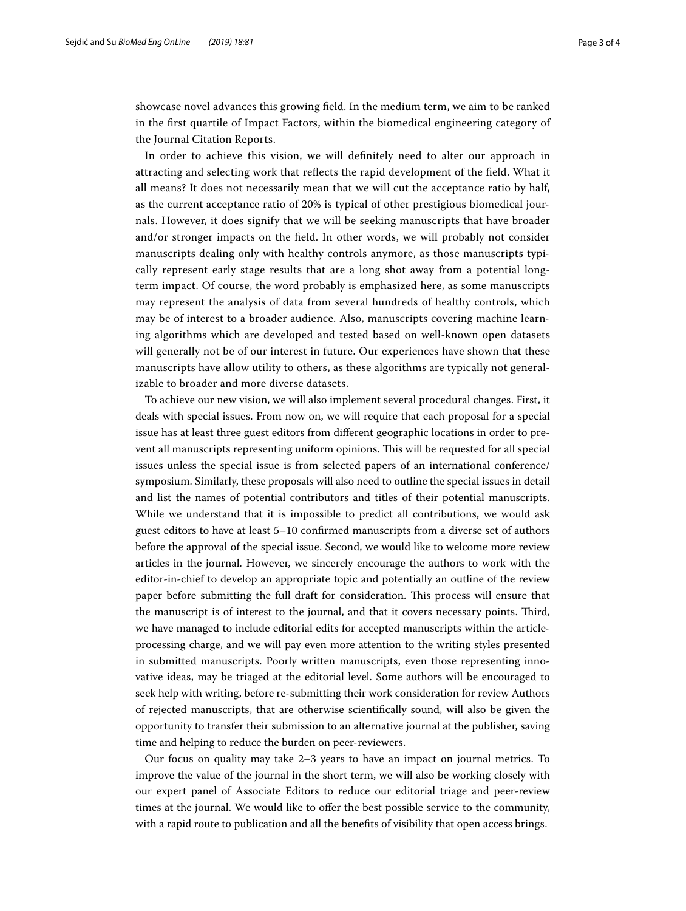showcase novel advances this growing feld. In the medium term, we aim to be ranked in the frst quartile of Impact Factors, within the biomedical engineering category of the Journal Citation Reports.

In order to achieve this vision, we will defnitely need to alter our approach in attracting and selecting work that refects the rapid development of the feld. What it all means? It does not necessarily mean that we will cut the acceptance ratio by half, as the current acceptance ratio of 20% is typical of other prestigious biomedical journals. However, it does signify that we will be seeking manuscripts that have broader and/or stronger impacts on the feld. In other words, we will probably not consider manuscripts dealing only with healthy controls anymore, as those manuscripts typically represent early stage results that are a long shot away from a potential longterm impact. Of course, the word probably is emphasized here, as some manuscripts may represent the analysis of data from several hundreds of healthy controls, which may be of interest to a broader audience. Also, manuscripts covering machine learning algorithms which are developed and tested based on well-known open datasets will generally not be of our interest in future. Our experiences have shown that these manuscripts have allow utility to others, as these algorithms are typically not generalizable to broader and more diverse datasets.

To achieve our new vision, we will also implement several procedural changes. First, it deals with special issues. From now on, we will require that each proposal for a special issue has at least three guest editors from diferent geographic locations in order to prevent all manuscripts representing uniform opinions. Tis will be requested for all special issues unless the special issue is from selected papers of an international conference/ symposium. Similarly, these proposals will also need to outline the special issues in detail and list the names of potential contributors and titles of their potential manuscripts. While we understand that it is impossible to predict all contributions, we would ask guest editors to have at least 5–10 confrmed manuscripts from a diverse set of authors before the approval of the special issue. Second, we would like to welcome more review articles in the journal. However, we sincerely encourage the authors to work with the editor-in-chief to develop an appropriate topic and potentially an outline of the review paper before submitting the full draft for consideration. Tis process will ensure that the manuscript is of interest to the journal, and that it covers necessary points. Tird, we have managed to include editorial edits for accepted manuscripts within the articleprocessing charge, and we will pay even more attention to the writing styles presented in submitted manuscripts. Poorly written manuscripts, even those representing innovative ideas, may be triaged at the editorial level. Some authors will be encouraged to seek help with writing, before re-submitting their work consideration for review Authors of rejected manuscripts, that are otherwise scientifcally sound, will also be given the opportunity to transfer their submission to an alternative journal at the publisher, saving time and helping to reduce the burden on peer-reviewers.

Our focus on quality may take 2–3 years to have an impact on journal metrics. To improve the value of the journal in the short term, we will also be working closely with our expert panel of Associate Editors to reduce our editorial triage and peer-review times at the journal. We would like to ofer the best possible service to the community, with a rapid route to publication and all the benefts of visibility that open access brings.